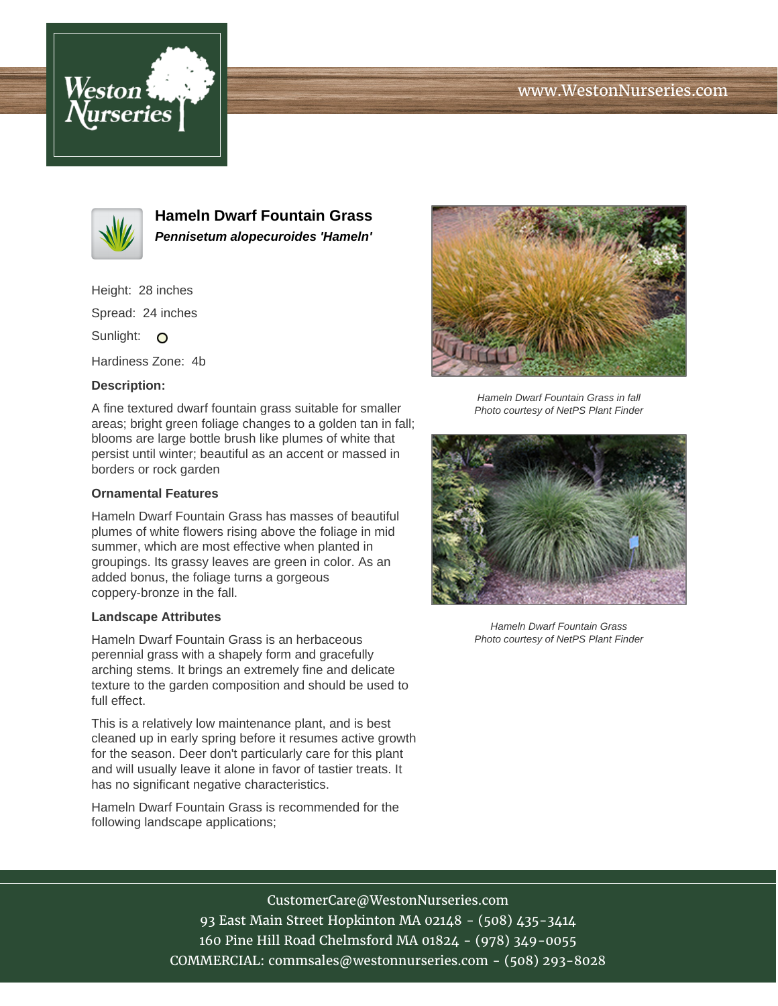# www.WestonNurseries.com





**Hameln Dwarf Fountain Grass Pennisetum alopecuroides 'Hameln'**

Height: 28 inches

Spread: 24 inches

Sunlight: O

Hardiness Zone: 4b

## **Description:**

A fine textured dwarf fountain grass suitable for smaller areas; bright green foliage changes to a golden tan in fall; blooms are large bottle brush like plumes of white that persist until winter; beautiful as an accent or massed in borders or rock garden

### **Ornamental Features**

Hameln Dwarf Fountain Grass has masses of beautiful plumes of white flowers rising above the foliage in mid summer, which are most effective when planted in groupings. Its grassy leaves are green in color. As an added bonus, the foliage turns a gorgeous coppery-bronze in the fall.

#### **Landscape Attributes**

Hameln Dwarf Fountain Grass is an herbaceous perennial grass with a shapely form and gracefully arching stems. It brings an extremely fine and delicate texture to the garden composition and should be used to full effect.

This is a relatively low maintenance plant, and is best cleaned up in early spring before it resumes active growth for the season. Deer don't particularly care for this plant and will usually leave it alone in favor of tastier treats. It has no significant negative characteristics.

Hameln Dwarf Fountain Grass is recommended for the following landscape applications;



Hameln Dwarf Fountain Grass in fall Photo courtesy of NetPS Plant Finder



Hameln Dwarf Fountain Grass Photo courtesy of NetPS Plant Finder

# CustomerCare@WestonNurseries.com

93 East Main Street Hopkinton MA 02148 - (508) 435-3414 160 Pine Hill Road Chelmsford MA 01824 - (978) 349-0055 COMMERCIAL: commsales@westonnurseries.com - (508) 293-8028